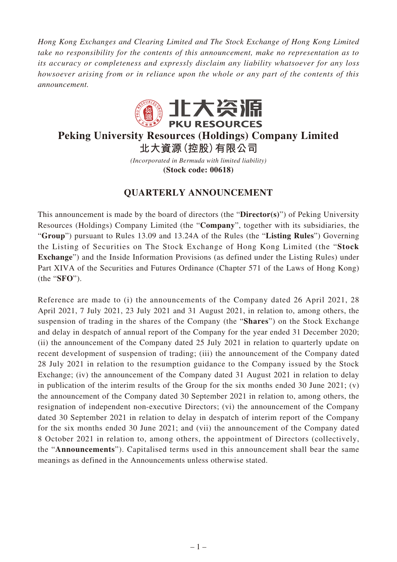*Hong Kong Exchanges and Clearing Limited and The Stock Exchange of Hong Kong Limited take no responsibility for the contents of this announcement, make no representation as to its accuracy or completeness and expressly disclaim any liability whatsoever for any loss howsoever arising from or in reliance upon the whole or any part of the contents of this announcement.*



# **Peking University Resources (Holdings) Company Limited 北大資源(控股)有限公司**

*(Incorporated in Bermuda with limited liability)* **(Stock code: 00618)**

# **QUARTERLY ANNOUNCEMENT**

This announcement is made by the board of directors (the "**Director(s)**") of Peking University Resources (Holdings) Company Limited (the "**Company**", together with its subsidiaries, the "**Group**") pursuant to Rules 13.09 and 13.24A of the Rules (the "**Listing Rules**") Governing the Listing of Securities on The Stock Exchange of Hong Kong Limited (the "**Stock Exchange**") and the Inside Information Provisions (as defined under the Listing Rules) under Part XIVA of the Securities and Futures Ordinance (Chapter 571 of the Laws of Hong Kong) (the "**SFO**").

Reference are made to (i) the announcements of the Company dated 26 April 2021, 28 April 2021, 7 July 2021, 23 July 2021 and 31 August 2021, in relation to, among others, the suspension of trading in the shares of the Company (the "**Shares**") on the Stock Exchange and delay in despatch of annual report of the Company for the year ended 31 December 2020; (ii) the announcement of the Company dated 25 July 2021 in relation to quarterly update on recent development of suspension of trading; (iii) the announcement of the Company dated 28 July 2021 in relation to the resumption guidance to the Company issued by the Stock Exchange; (iv) the announcement of the Company dated 31 August 2021 in relation to delay in publication of the interim results of the Group for the six months ended 30 June 2021; (v) the announcement of the Company dated 30 September 2021 in relation to, among others, the resignation of independent non-executive Directors; (vi) the announcement of the Company dated 30 September 2021 in relation to delay in despatch of interim report of the Company for the six months ended 30 June 2021; and (vii) the announcement of the Company dated 8 October 2021 in relation to, among others, the appointment of Directors (collectively, the "**Announcements**"). Capitalised terms used in this announcement shall bear the same meanings as defined in the Announcements unless otherwise stated.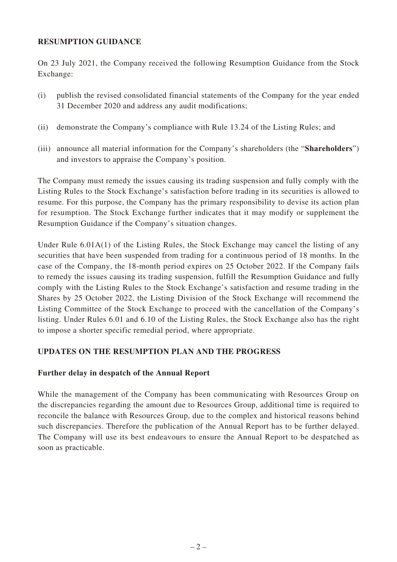# **RESUMPTION GUIDANCE**

On 23 July 2021, the Company received the following Resumption Guidance from the Stock Exchange:

- (i) publish the revised consolidated financial statements of the Company for the year ended 31 December 2020 and address any audit modifications;
- (ii) demonstrate the Company's compliance with Rule 13.24 of the Listing Rules; and
- (iii) announce all material information for the Company's shareholders (the "**Shareholders**") and investors to appraise the Company's position.

The Company must remedy the issues causing its trading suspension and fully comply with the Listing Rules to the Stock Exchange's satisfaction before trading in its securities is allowed to resume. For this purpose, the Company has the primary responsibility to devise its action plan for resumption. The Stock Exchange further indicates that it may modify or supplement the Resumption Guidance if the Company's situation changes.

Under Rule 6.01A(1) of the Listing Rules, the Stock Exchange may cancel the listing of any securities that have been suspended from trading for a continuous period of 18 months. In the case of the Company, the 18-month period expires on 25 October 2022. If the Company fails to remedy the issues causing its trading suspension, fulfill the Resumption Guidance and fully comply with the Listing Rules to the Stock Exchange's satisfaction and resume trading in the Shares by 25 October 2022, the Listing Division of the Stock Exchange will recommend the Listing Committee of the Stock Exchange to proceed with the cancellation of the Company's listing. Under Rules 6.01 and 6.10 of the Listing Rules, the Stock Exchange also has the right to impose a shorter specific remedial period, where appropriate.

## **UPDATES ON THE RESUMPTION PLAN AND THE PROGRESS**

## **Further delay in despatch of the Annual Report**

While the management of the Company has been communicating with Resources Group on the discrepancies regarding the amount due to Resources Group, additional time is required to reconcile the balance with Resources Group, due to the complex and historical reasons behind such discrepancies. Therefore the publication of the Annual Report has to be further delayed. The Company will use its best endeavours to ensure the Annual Report to be despatched as soon as practicable.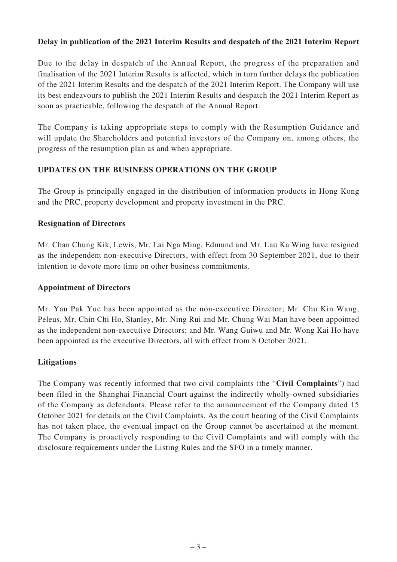# **Delay in publication of the 2021 Interim Results and despatch of the 2021 Interim Report**

Due to the delay in despatch of the Annual Report, the progress of the preparation and finalisation of the 2021 Interim Results is affected, which in turn further delays the publication of the 2021 Interim Results and the despatch of the 2021 Interim Report. The Company will use its best endeavours to publish the 2021 Interim Results and despatch the 2021 Interim Report as soon as practicable, following the despatch of the Annual Report.

The Company is taking appropriate steps to comply with the Resumption Guidance and will update the Shareholders and potential investors of the Company on, among others, the progress of the resumption plan as and when appropriate.

# **UPDATES ON THE BUSINESS OPERATIONS ON THE GROUP**

The Group is principally engaged in the distribution of information products in Hong Kong and the PRC, property development and property investment in the PRC.

## **Resignation of Directors**

Mr. Chan Chung Kik, Lewis, Mr. Lai Nga Ming, Edmund and Mr. Lau Ka Wing have resigned as the independent non-executive Directors, with effect from 30 September 2021, due to their intention to devote more time on other business commitments.

## **Appointment of Directors**

Mr. Yau Pak Yue has been appointed as the non-executive Director; Mr. Chu Kin Wang, Peleus, Mr. Chin Chi Ho, Stanley, Mr. Ning Rui and Mr. Chung Wai Man have been appointed as the independent non-executive Directors; and Mr. Wang Guiwu and Mr. Wong Kai Ho have been appointed as the executive Directors, all with effect from 8 October 2021.

## **Litigations**

The Company was recently informed that two civil complaints (the "**Civil Complaints**") had been filed in the Shanghai Financial Court against the indirectly wholly-owned subsidiaries of the Company as defendants. Please refer to the announcement of the Company dated 15 October 2021 for details on the Civil Complaints. As the court hearing of the Civil Complaints has not taken place, the eventual impact on the Group cannot be ascertained at the moment. The Company is proactively responding to the Civil Complaints and will comply with the disclosure requirements under the Listing Rules and the SFO in a timely manner.